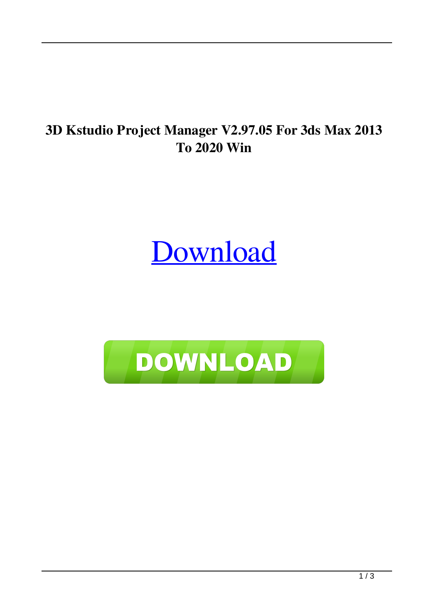## **3D Kstudio Project Manager V2.97.05 For 3ds Max 2013 To 2020 Win**

## [Download](http://evacdir.com/ashkenazic/benjamins/M0QgS3N0dWRpbyBQcm9qZWN0IE1hbmFnZXIgdjIuOTcuMDUgZm9yIDNkcyBNYXggMjAxMyB0byAyMDIwIFdpbgM0Q/gluten/potro/somelike/ZG93bmxvYWR8TXE0Ym1oamZId3hOalV5TnpRd09EWTJmSHd5TlRjMGZId29UU2tnY21WaFpDMWliRzluSUZ0R1lYTjBJRWRGVGww&yolk.widest)

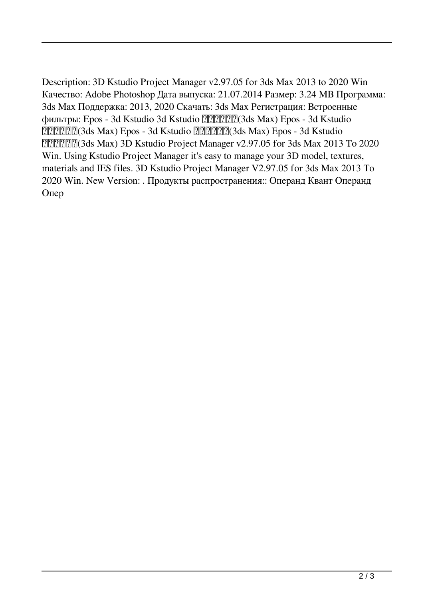Description: 3D Kstudio Project Manager v2.97.05 for 3ds Max 2013 to 2020 Win Качество: Adobe Photoshop Дата выпуска: 21.07.2014 Размер: 3.24 MB Программа: 3ds Max Поддержка: 2013, 2020 Скачать: 3ds Max Регистрация: Встроенные фильтры: Epos - 3d Kstudio 3d Kstudio 222203 (3ds Max) Epos - 3d Kstudio プロジェクト(3ds Max) Epos - 3d Kstudio プロジェクト(3ds Max) Epos - 3d Kstudio プロジェクト(3ds Max) 3D Kstudio Project Manager v2.97.05 for 3ds Max 2013 To 2020 Win. Using Kstudio Project Manager it's easy to manage your 3D model, textures, materials and IES files. 3D Kstudio Project Manager V2.97.05 for 3ds Max 2013 To 2020 Win. New Version: . Продукты распространения:: Операнд Квант Операнд Опер